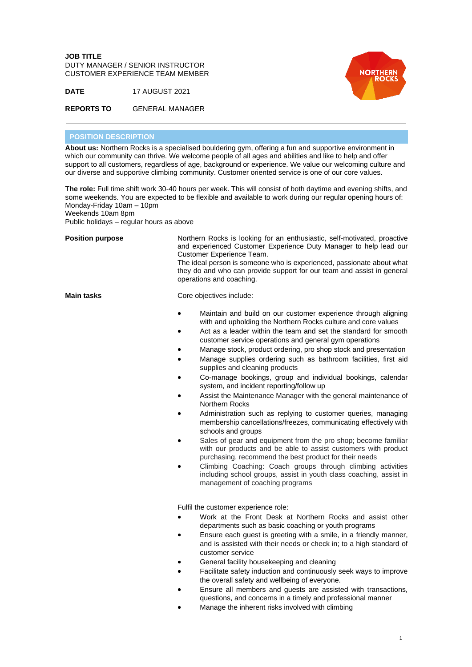**JOB TITLE** DUTY MANAGER / SENIOR INSTRUCTOR CUSTOMER EXPERIENCE TEAM MEMBER





**REPORTS TO** GENERAL MANAGER

## **POSITION DESCRIPTION**

**About us:** Northern Rocks is a specialised bouldering gym, offering a fun and supportive environment in which our community can thrive. We welcome people of all ages and abilities and like to help and offer support to all customers, regardless of age, background or experience. We value our welcoming culture and our diverse and supportive climbing community. Customer oriented service is one of our core values.

**The role:** Full time shift work 30-40 hours per week. This will consist of both daytime and evening shifts, and some weekends. You are expected to be flexible and available to work during our regular opening hours of: Monday-Friday 10am – 10pm

Weekends 10am 8pm

Public holidays – regular hours as above

| <b>Position purpose</b> | Northern Rocks is looking for an enthusiastic, self-motivated, proactive<br>and experienced Customer Experience Duty Manager to help lead our<br>Customer Experience Team.<br>The ideal person is someone who is experienced, passionate about what<br>they do and who can provide support for our team and assist in general<br>operations and coaching.                                                                                                                                                                                                                                                                                                                                                                                                                                                                                                                                                                                                                                                                                                                                                                                                                   |
|-------------------------|-----------------------------------------------------------------------------------------------------------------------------------------------------------------------------------------------------------------------------------------------------------------------------------------------------------------------------------------------------------------------------------------------------------------------------------------------------------------------------------------------------------------------------------------------------------------------------------------------------------------------------------------------------------------------------------------------------------------------------------------------------------------------------------------------------------------------------------------------------------------------------------------------------------------------------------------------------------------------------------------------------------------------------------------------------------------------------------------------------------------------------------------------------------------------------|
| <b>Main tasks</b>       | Core objectives include:                                                                                                                                                                                                                                                                                                                                                                                                                                                                                                                                                                                                                                                                                                                                                                                                                                                                                                                                                                                                                                                                                                                                                    |
|                         | Maintain and build on our customer experience through aligning<br>with and upholding the Northern Rocks culture and core values<br>Act as a leader within the team and set the standard for smooth<br>customer service operations and general gym operations<br>Manage stock, product ordering, pro shop stock and presentation<br>Manage supplies ordering such as bathroom facilities, first aid<br>supplies and cleaning products<br>Co-manage bookings, group and individual bookings, calendar<br>system, and incident reporting/follow up<br>Assist the Maintenance Manager with the general maintenance of<br><b>Northern Rocks</b><br>Administration such as replying to customer queries, managing<br>membership cancellations/freezes, communicating effectively with<br>schools and groups<br>Sales of gear and equipment from the pro shop; become familiar<br>with our products and be able to assist customers with product<br>purchasing, recommend the best product for their needs<br>Climbing Coaching: Coach groups through climbing activities<br>including school groups, assist in youth class coaching, assist in<br>management of coaching programs |
|                         | Fulfil the customer experience role:<br>Work at the Front Desk at Northern Rocks and assist other<br>departments such as basic coaching or youth programs<br>Ensure each guest is greeting with a smile, in a friendly manner,<br>and is assisted with their needs or check in; to a high standard of<br>customer service<br>General facility housekeeping and cleaning<br>Facilitate safety induction and continuously seek ways to improve<br>the overall safety and wellbeing of everyone.<br>Ensure all members and guests are assisted with transactions,<br>questions, and concerns in a timely and professional manner                                                                                                                                                                                                                                                                                                                                                                                                                                                                                                                                               |

Manage the inherent risks involved with climbing